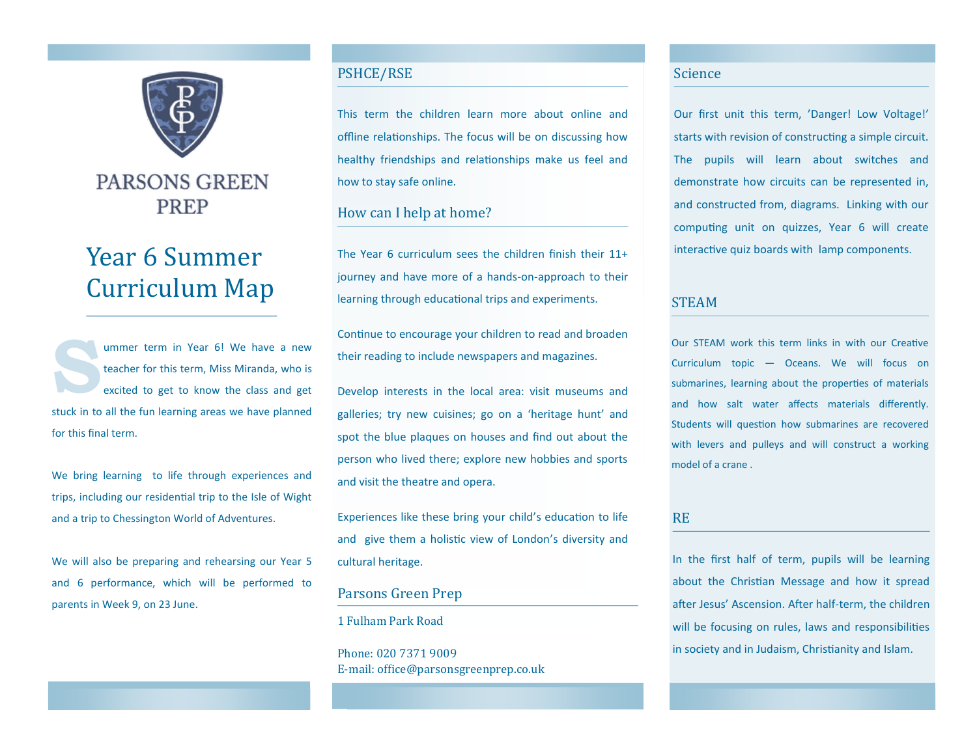

# **PARSONS GREEN PREP**

# Year 6 Summer Curriculum Map

**S** ummer term in Year 6! We have a new teacher for this term, Miss Miranda, who is excited to get to know the class and get stuck in to all the fun learning areas we have planned for this final term.

We bring learning to life through experiences and trips, including our residential trip to the Isle of Wight and a trip to Chessington World of Adventures.

We will also be preparing and rehearsing our Year 5 and 6 performance, which will be performed to parents in Week 9, on 23 June.

## PSHCE/RSE

This term the children learn more about online and offline relationships. The focus will be on discussing how healthy friendships and relationships make us feel and how to stay safe online.

### How can I help at home?

The Year 6 curriculum sees the children finish their 11+ journey and have more of a hands-on-approach to their learning through educational trips and experiments.

Continue to encourage your children to read and broaden their reading to include newspapers and magazines.

Develop interests in the local area: visit museums and galleries; try new cuisines; go on a 'heritage hunt' and spot the blue plaques on houses and find out about the person who lived there; explore new hobbies and sports and visit the theatre and opera.

Experiences like these bring your child's education to life and give them a holistic view of London's diversity and cultural heritage.

#### Parsons Green Prep

1 Fulham Park Road

Phone: 020 7371 9009 E-mail: office@parsonsgreenprep.co.uk

#### Science

Our first unit this term, 'Danger! Low Voltage!' starts with revision of constructing a simple circuit. The pupils will learn about switches and demonstrate how circuits can be represented in, and constructed from, diagrams. Linking with our computing unit on quizzes, Year 6 will create interactive quiz boards with lamp components.

#### **STEAM**

Our STEAM work this term links in with our Creative Curriculum topic — Oceans. We will focus on submarines, learning about the properties of materials and how salt water affects materials differently. Students will question how submarines are recovered with levers and pulleys and will construct a working model of a crane .

#### RE

In the first half of term, pupils will be learning about the Christian Message and how it spread after Jesus' Ascension. After half-term, the children will be focusing on rules, laws and responsibilities in society and in Judaism, Christianity and Islam.